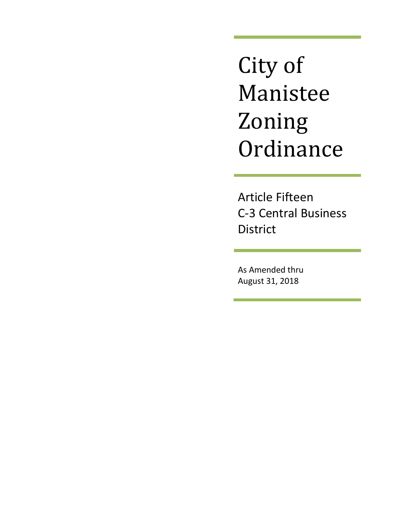City of Manistee Zoning **Ordinance** 

Article Fifteen C-3 Central Business District

As Amended thru August 31, 2018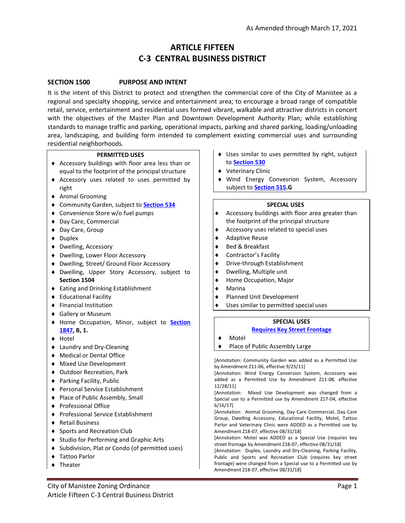# **ARTICLE FIFTEEN C-3 CENTRAL BUSINESS DISTRICT**

#### **SECTION 1500 PURPOSE AND INTENT**

It is the intent of this District to protect and strengthen the commercial core of the City of Manistee as a regional and specialty shopping, service and entertainment area; to encourage a broad range of compatible retail, service, entertainment and residential uses formed vibrant, walkable and attractive districts in concert with the objectives of the Master Plan and Downtown Development Authority Plan; while establishing standards to manage traffic and parking, operational impacts, parking and shared parking, loading/unloading area, landscaping, and building form intended to complement existing commercial uses and surrounding residential neighborhoods.

| <b>PERMITTED USES</b>                             | • Uses similar to uses permitted by right, subject                                                                              |  |  |
|---------------------------------------------------|---------------------------------------------------------------------------------------------------------------------------------|--|--|
| Accessory buildings with floor area less than or  | to Section 530                                                                                                                  |  |  |
| equal to the footprint of the principal structure | ♦ Veterinary Clinic                                                                                                             |  |  |
| Accessory uses related to uses permitted by       | Wind Energy Convesrion System, Accessory                                                                                        |  |  |
| right                                             | subject to <b>Section 515.G</b>                                                                                                 |  |  |
| ♦ Animal Grooming                                 |                                                                                                                                 |  |  |
| Community Garden, subject to <b>Section 534</b>   | <b>SPECIAL USES</b>                                                                                                             |  |  |
| Convenience Store w/o fuel pumps                  | Accessory buildings with floor area greater than<br>٠                                                                           |  |  |
| Day Care, Commercial                              | the footprint of the principal structure                                                                                        |  |  |
| Day Care, Group                                   | Accessory uses related to special uses<br>٠                                                                                     |  |  |
| <b>Duplex</b>                                     | <b>Adaptive Reuse</b><br>٠                                                                                                      |  |  |
| Dwelling, Accessory                               | Bed & Breakfast<br>٠                                                                                                            |  |  |
| Dwelling, Lower Floor Accessory                   | <b>Contractor's Facility</b><br>٠                                                                                               |  |  |
| Dwelling, Street/ Ground Floor Accessory          | Drive-through Establishment<br>٠                                                                                                |  |  |
| • Dwelling, Upper Story Accessory, subject to     | Dwelling, Multiple unit<br>٠                                                                                                    |  |  |
| Section 1504                                      | Home Occupation, Major                                                                                                          |  |  |
| <b>Eating and Drinking Establishment</b>          | Marina<br>٠                                                                                                                     |  |  |
| <b>Educational Facility</b><br>٠                  | Planned Unit Development<br>٠                                                                                                   |  |  |
| <b>Financial Institution</b>                      | Uses similar to permitted special uses                                                                                          |  |  |
| Gallery or Museum                                 |                                                                                                                                 |  |  |
| Home Occupation, Minor, subject to <b>Section</b> | <b>SPECIAL USES</b>                                                                                                             |  |  |
| 1847, B, 1.                                       | <b>Requires Key Street Frontage</b>                                                                                             |  |  |
| Hotel                                             | Motel                                                                                                                           |  |  |
| Laundry and Dry-Cleaning                          | Place of Public Assembly Large                                                                                                  |  |  |
| <b>Medical or Dental Office</b>                   |                                                                                                                                 |  |  |
| ♦ Mixed Use Development                           | [Annotation: Community Garden was added as a Permitted Use<br>by Amendment Z11-06, effective 9/25/11]                           |  |  |
| ♦ Outdoor Recreation, Park                        | [Annotation: Wind Energy Conversion System, Accessory was                                                                       |  |  |
| ◆ Parking Facility, Public                        | added as a Permitted Use by Amendment Z11-08, effective                                                                         |  |  |
| <b>Personal Service Establishment</b>             | 12/28/11<br>[Annotation: Mixed Use Development was changed from a                                                               |  |  |
| ◆ Place of Public Assembly, Small                 | Special use to a Permitted use by Amendment Z17-04, effective                                                                   |  |  |
| <b>Professional Office</b><br>٠                   | $6/16/17$ ]                                                                                                                     |  |  |
| <b>Professional Service Establishment</b>         | [Annotation: Animal Grooming, Day Care Commercial, Day Care                                                                     |  |  |
| <b>Retail Business</b><br>٠                       | Group, Dwelling Accessory, Educational Facility, Motel, Tattoo<br>Parlor and Veterinary Clinic were ADDED as a Permitted use by |  |  |
| Sports and Recreation Club                        | Amendment Z18-07, effective 08/31/18]                                                                                           |  |  |
| <b>Studio for Performing and Graphic Arts</b>     | [Annotation: Motel was ADDED as a Special Use (requires key                                                                     |  |  |
| Subdivision, Plat or Condo (of permitted uses)    | street frontage by Amendment Z18-07, effective 08/31/18]<br>[Annotation: Duplex, Laundry and Dry-Cleaning, Parking Facility,    |  |  |
| <b>Tattoo Parlor</b>                              | Public and Sports and Recreation Club (requires key street                                                                      |  |  |
| Theater                                           | frontage) were changed from a Special use to a Permitted use by<br>Amendment Z18-07, effective 08/31/18]                        |  |  |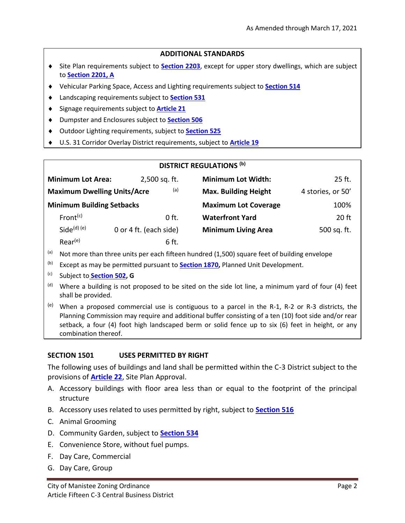#### **ADDITIONAL STANDARDS**

- Site Plan requirements subject to **[Section 2203](http://www.manisteemi.gov/DocumentCenter/View/1502)**, except for upper story dwellings, which are subject to **[Section 2201, A](http://www.manisteemi.gov/DocumentCenter/View/1521)**
- Vehicular Parking Space, Access and Lighting requirements subject to **[Section 514](http://www.manisteemi.gov/DocumentCenter/View/1434)**
- Landscaping requirements subject to **[Section 531](http://www.manisteemi.gov/DocumentCenter/View/1437)**
- Signage requirements subject to **[Article 21](http://www.manisteemi.gov/DocumentCenter/View/345)**
- Dumpster and Enclosures subject to **[Section 506](http://manisteemi.gov/DocumentCenter/View/3391)**
- Outdoor Lighting requirements, subject to **[Section 525](http://www.manisteemi.gov/DocumentCenter/View/1436)**
- U.S. 31 Corridor Overlay District requirements, subject to **[Article 19](http://www.manisteemi.gov/DocumentCenter/View/343)**

|  | <b>DISTRICT REGULATIONS (b)</b> |
|--|---------------------------------|
|--|---------------------------------|

| <b>Minimum Lot Area:</b>           | 2,500 sq. ft.          | <b>Minimum Lot Width:</b>   | 25 ft.            |
|------------------------------------|------------------------|-----------------------------|-------------------|
| <b>Maximum Dwelling Units/Acre</b> | (a)                    | <b>Max. Building Height</b> | 4 stories, or 50' |
| <b>Minimum Building Setbacks</b>   |                        | <b>Maximum Lot Coverage</b> | 100%              |
| Front <sup>(c)</sup>               | $0$ ft.                | <b>Waterfront Yard</b>      | 20 ft             |
| Side $(d)$ $(e)$                   | 0 or 4 ft. (each side) | <b>Minimum Living Area</b>  | 500 sq. ft.       |
| $Rear^{(e)}$                       | 6ft.                   |                             |                   |

- (a) Not more than three units per each fifteen hundred (1,500) square feet of building envelope
- (b) Except as may be permitted pursuant to **[Section 1870,](http://www.manisteemi.gov/DocumentCenter/View/1483)** Planned Unit Development.
- (c) Subject to **[Section 502,](http://www.manisteemi.gov/DocumentCenter/View/1433) G**
- $<sup>(d)</sup>$  Where a building is not proposed to be sited on the side lot line, a minimum yard of four (4) feet</sup> shall be provided.
- $(e)$  When a proposed commercial use is contiguous to a parcel in the R-1, R-2 or R-3 districts, the Planning Commission may require and additional buffer consisting of a ten (10) foot side and/or rear setback, a four (4) foot high landscaped berm or solid fence up to six (6) feet in height, or any combination thereof.

### **SECTION 1501 USES PERMITTED BY RIGHT**

The following uses of buildings and land shall be permitted within the C-3 District subject to the provisions of **[Article 22](http://www.manisteemi.gov/DocumentCenter/View/347)**, Site Plan Approval.

- A. Accessory buildings with floor area less than or equal to the footprint of the principal structure
- B. Accessory uses related to uses permitted by right, subject to **[Section 516](http://www.manisteemi.gov/DocumentCenter/View/1435)**
- C. Animal Grooming
- D. Community Garden, subject to **[Section 534](http://www.manisteemi.gov/DocumentCenter/View/1438)**
- E. Convenience Store, without fuel pumps.
- F. Day Care, Commercial
- G. Day Care, Group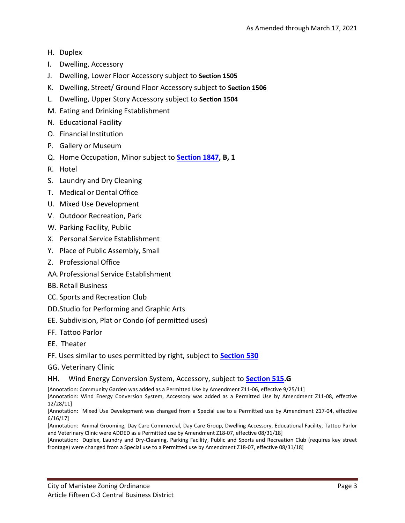- H. Duplex
- I. Dwelling, Accessory
- J. Dwelling, Lower Floor Accessory subject to **Section 1505**
- K. Dwelling, Street/ Ground Floor Accessory subject to **Section 1506**
- L. Dwelling, Upper Story Accessory subject to **Section 1504**
- M. Eating and Drinking Establishment
- N. Educational Facility
- O. Financial Institution
- P. Gallery or Museum
- Q. Home Occupation, Minor subject to **[Section 1847,](http://www.manisteemi.gov/DocumentCenter/View/1468) B, 1**
- R. Hotel
- S. Laundry and Dry Cleaning
- T. Medical or Dental Office
- U. Mixed Use Development
- V. Outdoor Recreation, Park
- W. Parking Facility, Public
- X. Personal Service Establishment
- Y. Place of Public Assembly, Small
- Z. Professional Office
- AA.Professional Service Establishment
- BB. Retail Business
- CC. Sports and Recreation Club
- DD.Studio for Performing and Graphic Arts
- EE. Subdivision, Plat or Condo (of permitted uses)
- FF. Tattoo Parlor
- EE. Theater
- FF. Uses similar to uses permitted by right, subject to **[Section 530](http://www.manisteemi.gov/DocumentCenter/View/1506)**
- GG. Veterinary Clinic

#### HH. Wind Energy Conversion System, Accessory, subject to **[Section 515.](http://www.manisteemi.gov/DocumentCenter/View/1503)G**

[Annotation: Community Garden was added as a Permitted Use by Amendment Z11-06, effective 9/25/11] [Annotation: Wind Energy Conversion System, Accessory was added as a Permitted Use by Amendment Z11-08, effective 12/28/11]

[Annotation: Mixed Use Development was changed from a Special use to a Permitted use by Amendment Z17-04, effective 6/16/17]

[Annotation: Animal Grooming, Day Care Commercial, Day Care Group, Dwelling Accessory, Educational Facility, Tattoo Parlor and Veterinary Clinic were ADDED as a Permitted use by Amendment Z18-07, effective 08/31/18]

[Annotation: Duplex, Laundry and Dry-Cleaning, Parking Facility, Public and Sports and Recreation Club (requires key street frontage) were changed from a Special use to a Permitted use by Amendment Z18-07, effective 08/31/18]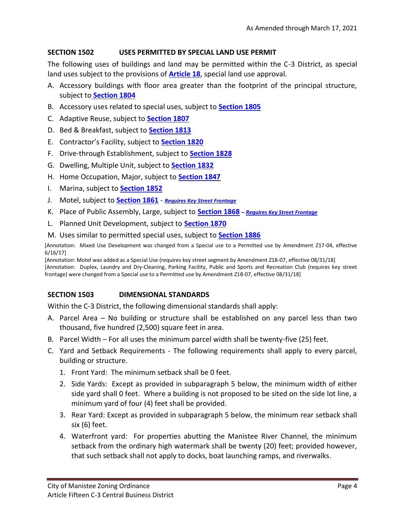### **SECTION 1502 USES PERMITTED BY SPECIAL LAND USE PERMIT**

The following uses of buildings and land may be permitted within the C-3 District, as special land uses subject to the provisions of **[Article 18](http://www.manisteemi.gov/DocumentCenter/View/342)**, special land use approval.

- A. Accessory buildings with floor area greater than the footprint of the principal structure, subject to **[Section 1804](http://www.manisteemi.gov/DocumentCenter/View/1439)**
- B. Accessory uses related to special uses, subject to **[Section 1805](http://www.manisteemi.gov/DocumentCenter/View/1440)**
- C. Adaptive Reuse, subject to **[Section 1807](http://www.manisteemi.gov/DocumentCenter/View/1441)**
- D. Bed & Breakfast, subject to **[Section 1813](http://www.manisteemi.gov/DocumentCenter/View/1445)**
- E. Contractor's Facility, subject to **[Section 1820](http://www.manisteemi.gov/DocumentCenter/View/1450)**
- F. Drive-through Establishment, subject to **[Section 1828](http://www.manisteemi.gov/DocumentCenter/View/1455)**
- G. Dwelling, Multiple Unit, subject to **[Section 1832](http://www.manisteemi.gov/DocumentCenter/View/1458)**
- H. Home Occupation, Major, subject to **[Section 1847](http://www.manisteemi.gov/DocumentCenter/View/1468)**
- I. Marina, subject to **[Section 1852](http://www.manisteemi.gov/DocumentCenter/View/1471)**
- J. Motel, subject to **[Section 1861](http://www.manisteemi.gov/DocumentCenter/View/1477/Section-1861-Motel?bidId=)** *[Requires Key Street Frontage](http://www.manisteemi.gov/DocumentCenter/View/1507/Section-532-Key-Street-Segments?bidId=)*
- K. Place of Public Assembly, Large, subject to **[Section 1868](http://www.manisteemi.gov/DocumentCenter/View/1482)** *– [Requires Key Street Frontage](http://www.manisteemi.gov/DocumentCenter/View/1507)*
- L. Planned Unit Development, subject to **[Section 1870](http://www.manisteemi.gov/DocumentCenter/View/1483)**
- M. Uses similar to permitted special uses, subject to **[Section 1886](http://www.manisteemi.gov/DocumentCenter/View/1494)**

[Annotation: Mixed Use Development was changed from a Special use to a Permitted use by Amendment Z17-04, effective 6/16/17]

[Annotation: Motel was added as a Special Use (requires key street segment by Amendment Z18-07, effective 08/31/18] [Annotation: Duplex, Laundry and Dry-Cleaning, Parking Facility, Public and Sports and Recreation Club (requires key street frontage) were changed from a Special use to a Permitted use by Amendment Z18-07, effective 08/31/18]

### **SECTION 1503 DIMENSIONAL STANDARDS**

Within the C-3 District, the following dimensional standards shall apply:

- A. Parcel Area No building or structure shall be established on any parcel less than two thousand, five hundred (2,500) square feet in area.
- B. Parcel Width For all uses the minimum parcel width shall be twenty-five (25) feet.
- C. Yard and Setback Requirements The following requirements shall apply to every parcel, building or structure.
	- 1. Front Yard: The minimum setback shall be 0 feet.
	- 2. Side Yards: Except as provided in subparagraph 5 below, the minimum width of either side yard shall 0 feet. Where a building is not proposed to be sited on the side lot line, a minimum yard of four (4) feet shall be provided.
	- 3. Rear Yard: Except as provided in subparagraph 5 below, the minimum rear setback shall six (6) feet.
	- 4. Waterfront yard: For properties abutting the Manistee River Channel, the minimum setback from the ordinary high watermark shall be twenty (20) feet; provided however, that such setback shall not apply to docks, boat launching ramps, and riverwalks.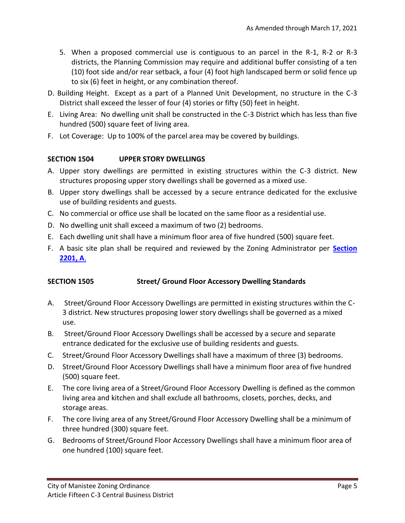- 5. When a proposed commercial use is contiguous to an parcel in the R-1, R-2 or R-3 districts, the Planning Commission may require and additional buffer consisting of a ten (10) foot side and/or rear setback, a four (4) foot high landscaped berm or solid fence up to six (6) feet in height, or any combination thereof.
- D. Building Height. Except as a part of a Planned Unit Development, no structure in the C-3 District shall exceed the lesser of four (4) stories or fifty (50) feet in height.
- E. Living Area: No dwelling unit shall be constructed in the C-3 District which has less than five hundred (500) square feet of living area.
- F. Lot Coverage: Up to 100% of the parcel area may be covered by buildings.

### **SECTION 1504 UPPER STORY DWELLINGS**

- A. Upper story dwellings are permitted in existing structures within the C-3 district. New structures proposing upper story dwellings shall be governed as a mixed use.
- B. Upper story dwellings shall be accessed by a secure entrance dedicated for the exclusive use of building residents and guests.
- C. No commercial or office use shall be located on the same floor as a residential use.
- D. No dwelling unit shall exceed a maximum of two (2) bedrooms.
- E. Each dwelling unit shall have a minimum floor area of five hundred (500) square feet.
- F. A basic site plan shall be required and reviewed by the Zoning Administrator per **[Section](http://www.manisteemi.gov/DocumentCenter/View/1521)  [2201, A](http://www.manisteemi.gov/DocumentCenter/View/1521)**.

### **SECTION 1505 Street/ Ground Floor Accessory Dwelling Standards**

- A. Street/Ground Floor Accessory Dwellings are permitted in existing structures within the C-3 district. New structures proposing lower story dwellings shall be governed as a mixed use.
- B. Street/Ground Floor Accessory Dwellings shall be accessed by a secure and separate entrance dedicated for the exclusive use of building residents and guests.
- C. Street/Ground Floor Accessory Dwellings shall have a maximum of three (3) bedrooms.
- D. Street/Ground Floor Accessory Dwellings shall have a minimum floor area of five hundred (500) square feet.
- E. The core living area of a Street/Ground Floor Accessory Dwelling is defined as the common living area and kitchen and shall exclude all bathrooms, closets, porches, decks, and storage areas.
- F. The core living area of any Street/Ground Floor Accessory Dwelling shall be a minimum of three hundred (300) square feet.
- G. Bedrooms of Street/Ground Floor Accessory Dwellings shall have a minimum floor area of one hundred (100) square feet.